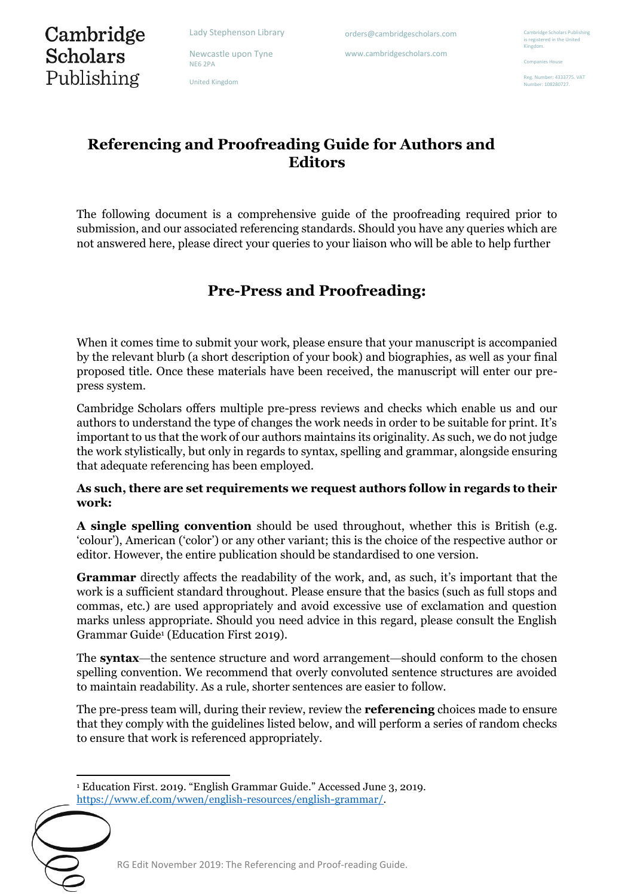Newcastle upon Tyne

orders@cambridgescholars.com

www.cambridgescholars.com

# Cambridge **Scholars** Publishing

NE6 2PA United Kingdom Companies House

Reg. Number: 4333775. VAT .<br>mber: 108280727

# **Referencing and Proofreading Guide for Authors and Editors**

The following document is a comprehensive guide of the proofreading required prior to submission, and our associated referencing standards. Should you have any queries which are not answered here, please direct your queries to your liaison who will be able to help further

# **Pre-Press and Proofreading:**

When it comes time to submit your work, please ensure that your manuscript is accompanied by the relevant blurb (a short description of your book) and biographies, as well as your final proposed title. Once these materials have been received, the manuscript will enter our prepress system.

Cambridge Scholars offers multiple pre-press reviews and checks which enable us and our authors to understand the type of changes the work needs in order to be suitable for print. It's important to us that the work of our authors maintains its originality. As such, we do not judge the work stylistically, but only in regards to syntax, spelling and grammar, alongside ensuring that adequate referencing has been employed.

# **As such, there are set requirements we request authors follow in regards to their work:**

**A single spelling convention** should be used throughout, whether this is British (e.g. 'colour'), American ('color') or any other variant; this is the choice of the respective author or editor. However, the entire publication should be standardised to one version.

**Grammar** directly affects the readability of the work, and, as such, it's important that the work is a sufficient standard throughout. Please ensure that the basics (such as full stops and commas, etc.) are used appropriately and avoid excessive use of exclamation and question marks unless appropriate. Should you need advice in this regard, please consult the English Grammar Guide<sup>1</sup> (Education First 2019).

The **syntax**—the sentence structure and word arrangement—should conform to the chosen spelling convention. We recommend that overly convoluted sentence structures are avoided to maintain readability. As a rule, shorter sentences are easier to follow.

The pre-press team will, during their review, review the **referencing** choices made to ensure that they comply with the guidelines listed below, and will perform a series of random checks to ensure that work is referenced appropriately.

<sup>1</sup> Education First. 2019. "English Grammar Guide." Accessed June 3, 2019. [https://www.ef.com/wwen/english-resources/english-grammar/.](https://www.ef.com/wwen/english-resources/english-grammar/)

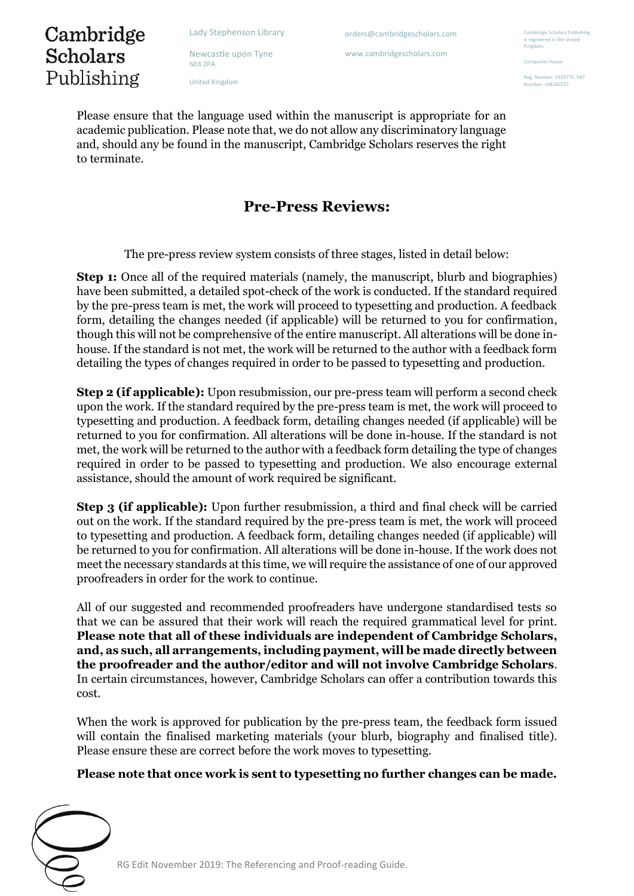orders@cambridgescholars.com

www.cambridgescholars.com

idge Scholars Publish is registered in the United Kingdom.

Companies House

Reg. Number: 4333775. VAT .<br>mber: 108280727

Cambridge **Scholars** Publishing

Newcastle upon Tyne NE6 2PA

United Kingdom

Please ensure that the language used within the manuscript is appropriate for an academic publication. Please note that, we do not allow any discriminatory language and, should any be found in the manuscript, Cambridge Scholars reserves the right to terminate.

# **Pre-Press Reviews:**

The pre-press review system consists of three stages, listed in detail below:

**Step 1:** Once all of the required materials (namely, the manuscript, blurb and biographies) have been submitted, a detailed spot-check of the work is conducted. If the standard required by the pre-press team is met, the work will proceed to typesetting and production. A feedback form, detailing the changes needed (if applicable) will be returned to you for confirmation, though this will not be comprehensive of the entire manuscript. All alterations will be done inhouse. If the standard is not met, the work will be returned to the author with a feedback form detailing the types of changes required in order to be passed to typesetting and production.

**Step 2 (if applicable):** Upon resubmission, our pre-press team will perform a second check upon the work. If the standard required by the pre-press team is met, the work will proceed to typesetting and production. A feedback form, detailing changes needed (if applicable) will be returned to you for confirmation. All alterations will be done in-house. If the standard is not met, the work will be returned to the author with a feedback form detailing the type of changes required in order to be passed to typesetting and production. We also encourage external assistance, should the amount of work required be significant.

**Step 3 (if applicable):** Upon further resubmission, a third and final check will be carried out on the work. If the standard required by the pre-press team is met, the work will proceed to typesetting and production. A feedback form, detailing changes needed (if applicable) will be returned to you for confirmation. All alterations will be done in-house. If the work does not meet the necessary standards at this time, we will require the assistance of one of our approved proofreaders in order for the work to continue.

All of our suggested and recommended proofreaders have undergone standardised tests so that we can be assured that their work will reach the required grammatical level for print. **Please note that all of these individuals are independent of Cambridge Scholars, and, as such, all arrangements, including payment, will be made directly between the proofreader and the author/editor and will not involve Cambridge Scholars**. In certain circumstances, however, Cambridge Scholars can offer a contribution towards this cost.

When the work is approved for publication by the pre-press team, the feedback form issued will contain the finalised marketing materials (your blurb, biography and finalised title). Please ensure these are correct before the work moves to typesetting.

# **Please note that once work is sent to typesetting no further changes can be made.**

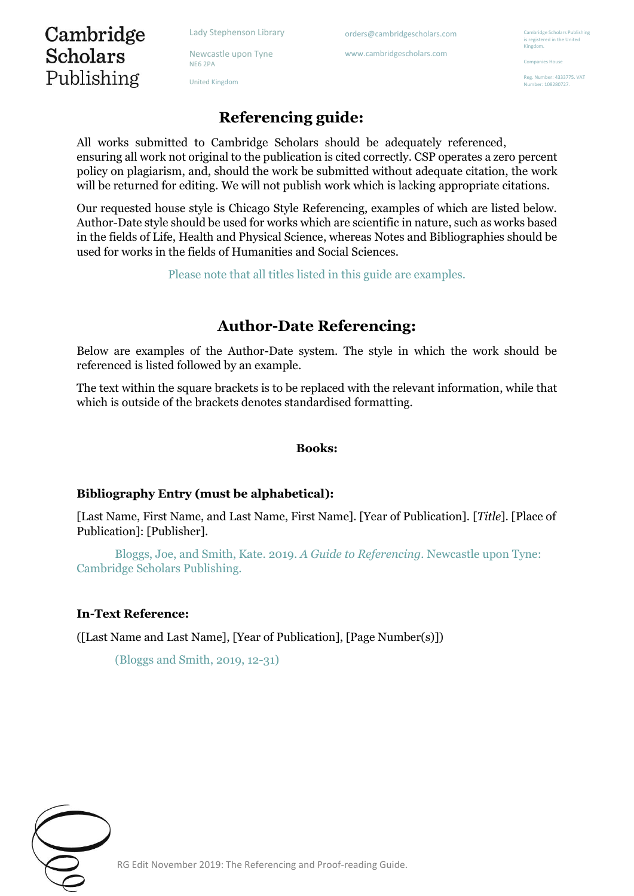Newcastle upon Tyne NE6 2PA

United Kingdom

Cambridge **Scholars** 

Publishing

orders@cambridgescholars.com

www.cambridgescholars.com

**Cambridge Scholars Publishing** is registered in the United Kingdom.

Companies House

Reg. Number: 4333775. VAT .<br>mber: 108280727

# **Referencing guide:**

All works submitted to Cambridge Scholars should be adequately referenced, ensuring all work not original to the publication is cited correctly. CSP operates a zero percent policy on plagiarism, and, should the work be submitted without adequate citation, the work will be returned for editing. We will not publish work which is lacking appropriate citations.

Our requested house style is Chicago Style Referencing, examples of which are listed below. Author-Date style should be used for works which are scientific in nature, such as works based in the fields of Life, Health and Physical Science, whereas Notes and Bibliographies should be used for works in the fields of Humanities and Social Sciences.

Please note that all titles listed in this guide are examples.

# **Author-Date Referencing:**

Below are examples of the Author-Date system. The style in which the work should be referenced is listed followed by an example.

The text within the square brackets is to be replaced with the relevant information, while that which is outside of the brackets denotes standardised formatting.

#### **Books:**

#### **Bibliography Entry (must be alphabetical):**

[Last Name, First Name, and Last Name, First Name]. [Year of Publication]. [*Title*]. [Place of Publication]: [Publisher].

Bloggs, Joe, and Smith, Kate. 2019. *A Guide to Referencing.* Newcastle upon Tyne: Cambridge Scholars Publishing.

#### **In-Text Reference:**

([Last Name and Last Name], [Year of Publication], [Page Number(s)])

(Bloggs and Smith, 2019, 12-31)

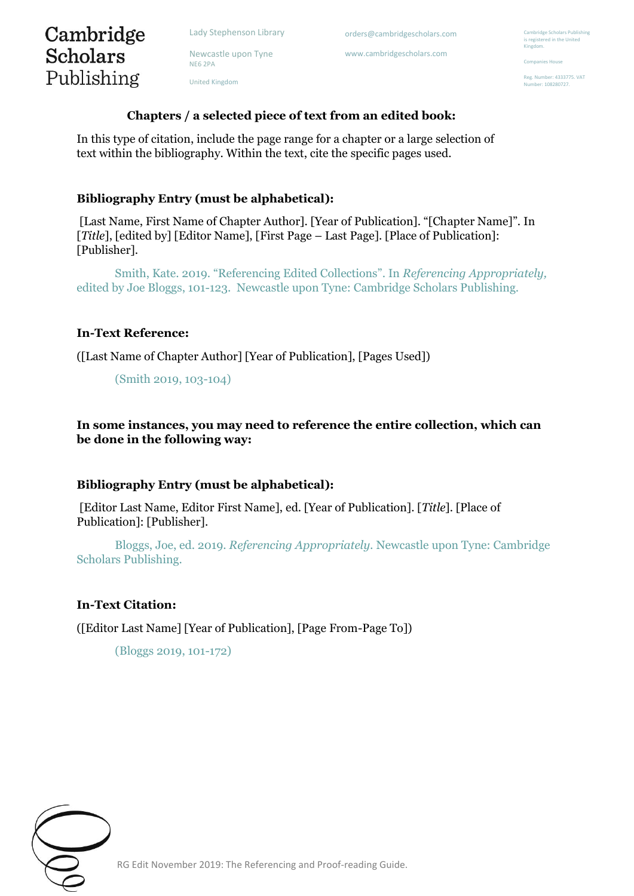Newcastle upon Tyne NE6 2PA

United Kingdom

orders@cambridgescholars.com

www.cambridgescholars.com

nbridge Scholars Publishing is registered in the United Kingdom.

Companies House

Reg. Number: 4333775. VAT -<br>mber: 108280727

# **Chapters / a selected piece of text from an edited book:**

In this type of citation, include the page range for a chapter or a large selection of text within the bibliography. Within the text, cite the specific pages used.

### **Bibliography Entry (must be alphabetical):**

[Last Name, First Name of Chapter Author]. [Year of Publication]. "[Chapter Name]". In [*Title*], [edited by] [Editor Name], [First Page – Last Page]. [Place of Publication]: [Publisher].

Smith, Kate. 2019. "Referencing Edited Collections". In *Referencing Appropriately,*  edited by Joe Bloggs, 101-123. Newcastle upon Tyne: Cambridge Scholars Publishing.

#### **In-Text Reference:**

Cambridge **Scholars** 

Publishing

([Last Name of Chapter Author] [Year of Publication], [Pages Used])

(Smith 2019, 103-104)

**In some instances, you may need to reference the entire collection, which can be done in the following way:** 

#### **Bibliography Entry (must be alphabetical):**

[Editor Last Name, Editor First Name], ed. [Year of Publication]. [*Title*]. [Place of Publication]: [Publisher].

Bloggs, Joe, ed. 2019. *Referencing Appropriately.* Newcastle upon Tyne: Cambridge Scholars Publishing.

#### **In-Text Citation:**

([Editor Last Name] [Year of Publication], [Page From-Page To])

(Bloggs 2019, 101-172)

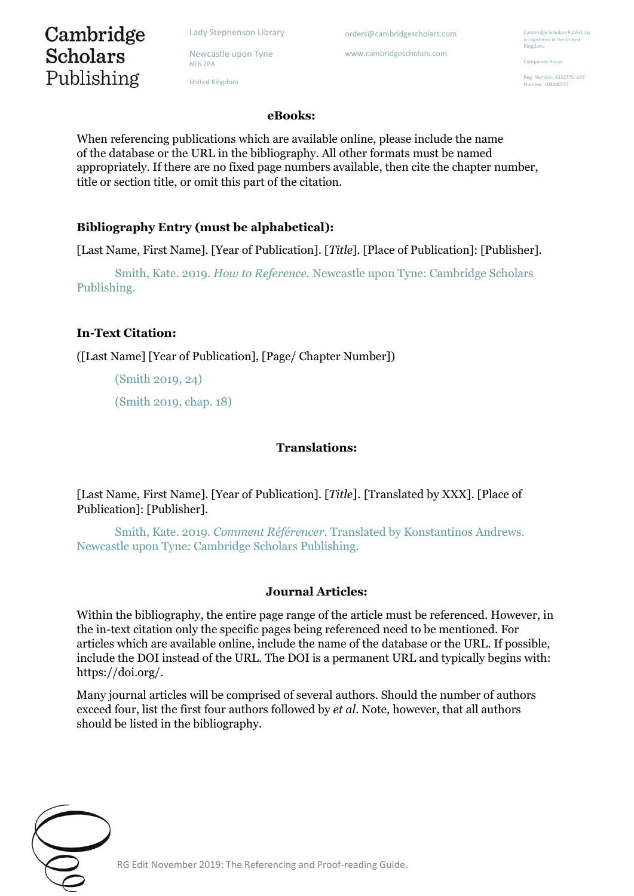Newcastle upon Tyne NE6 2PA

United Kingdom

orders@cambridgescholars.com

www.cambridgescholars.com

**Ibridge Scholars Publishing** is registered in the United Kingdom.

Companies House

Reg. Number: 4333775. VAT .<br>mber: 108280727

#### **eBooks:**

When referencing publications which are available online, please include the name of the database or the URL in the bibliography. All other formats must be named appropriately. If there are no fixed page numbers available, then cite the chapter number, title or section title, or omit this part of the citation.

## **Bibliography Entry (must be alphabetical):**

[Last Name, First Name]. [Year of Publication]. [*Title*]. [Place of Publication]: [Publisher].

Smith, Kate. 2019. *How to Reference.* Newcastle upon Tyne: Cambridge Scholars Publishing.

## **In-Text Citation:**

Cambridge Scholars

Publishing

([Last Name] [Year of Publication], [Page/ Chapter Number])

(Smith 2019, 24)

(Smith 2019, chap. 18)

### **Translations:**

[Last Name, First Name]. [Year of Publication]. [*Title*]. [Translated by XXX]. [Place of Publication]: [Publisher].

Smith, Kate. 2019. *Comment Référencer.* Translated by Konstantinos Andrews. Newcastle upon Tyne: Cambridge Scholars Publishing.

#### **Journal Articles:**

Within the bibliography, the entire page range of the article must be referenced. However, in the in-text citation only the specific pages being referenced need to be mentioned. For articles which are available online, include the name of the database or the URL. If possible, include the DOI instead of the URL. The DOI is a permanent URL and typically begins with: https://doi.org/.

Many journal articles will be comprised of several authors. Should the number of authors exceed four, list the first four authors followed by *et al.* Note, however, that all authors should be listed in the bibliography.

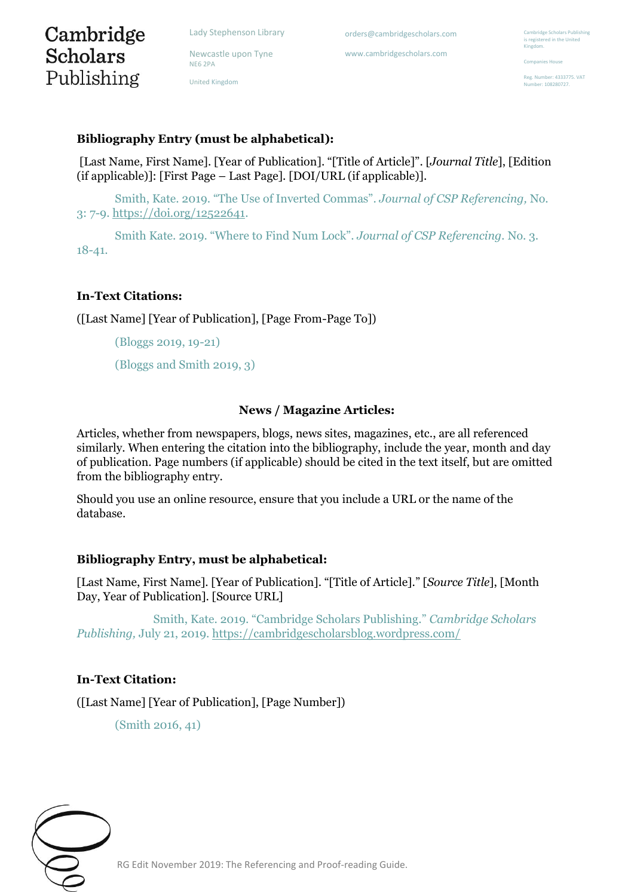Newcastle upon Tyne

# Cambridge **Scholars** Publishing

NE6 2PA

United Kingdom

orders@cambridgescholars.com

www.cambridgescholars.com

nbridge Scholars Publishing is registered in the United Kingdom.

Companies House

Reg. Number: 4333775. VAT -<br>mber: 108280727

## **Bibliography Entry (must be alphabetical):**

[Last Name, First Name]. [Year of Publication]. "[Title of Article]". [*Journal Title*], [Edition (if applicable)]: [First Page – Last Page]. [DOI/URL (if applicable)].

Smith, Kate. 2019. "The Use of Inverted Commas". *Journal of CSP Referencing,* No. 3: 7-9[. https://doi.org/12522641.](https://doi.org/12522641)

Smith Kate. 2019. "Where to Find Num Lock". *Journal of CSP Referencing.* No. 3. 18-41.

## **In-Text Citations:**

([Last Name] [Year of Publication], [Page From-Page To])

(Bloggs 2019, 19-21)

(Bloggs and Smith 2019, 3)

#### **News / Magazine Articles:**

Articles, whether from newspapers, blogs, news sites, magazines, etc., are all referenced similarly. When entering the citation into the bibliography, include the year, month and day of publication. Page numbers (if applicable) should be cited in the text itself, but are omitted from the bibliography entry.

Should you use an online resource, ensure that you include a URL or the name of the database.

#### **Bibliography Entry, must be alphabetical:**

[Last Name, First Name]. [Year of Publication]. "[Title of Article]." [*Source Title*], [Month Day, Year of Publication]. [Source URL]

Smith, Kate. 2019. "Cambridge Scholars Publishing." *Cambridge Scholars Publishing,* July 21, 2019.<https://cambridgescholarsblog.wordpress.com/>

# **In-Text Citation:**

([Last Name] [Year of Publication], [Page Number])

(Smith 2016, 41)

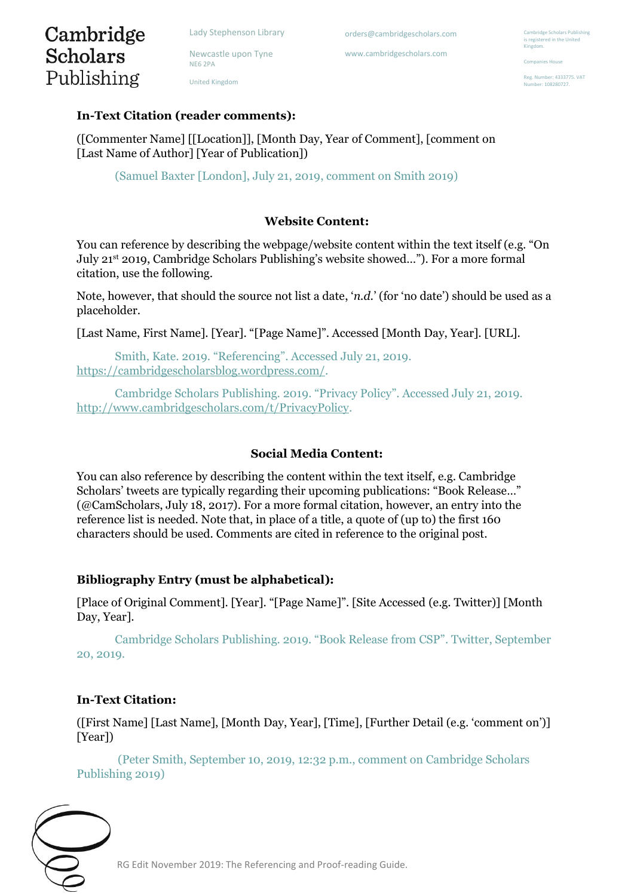Newcastle upon Tyne

orders@cambridgescholars.com

www.cambridgescholars.com

**Dridge Scholars Publishing** is registered in the United Kingdom.

Companies House

eg. Number: 4333775. VAT nher: 108280727

# Cambridge **Scholars** Publishing

NE6 2PA United Kingdom

# **In-Text Citation (reader comments):**

([Commenter Name] [[Location]], [Month Day, Year of Comment], [comment on [Last Name of Author] [Year of Publication])

(Samuel Baxter [London], July 21, 2019, comment on Smith 2019)

# **Website Content:**

You can reference by describing the webpage/website content within the text itself (e.g. "On July 21st 2019, Cambridge Scholars Publishing's website showed…"). For a more formal citation, use the following.

Note, however, that should the source not list a date, '*n.d.*' (for 'no date') should be used as a placeholder.

[Last Name, First Name]. [Year]. "[Page Name]". Accessed [Month Day, Year]. [URL].

Smith, Kate. 2019. "Referencing". Accessed July 21, 2019. [https://cambridgescholarsblog.wordpress.com/.](https://cambridgescholarsblog.wordpress.com/)

Cambridge Scholars Publishing. 2019. "Privacy Policy". Accessed July 21, 2019. [http://www.cambridgescholars.com/t/PrivacyPolicy.](http://www.cambridgescholars.com/t/PrivacyPolicy)

# **Social Media Content:**

You can also reference by describing the content within the text itself, e.g. Cambridge Scholars' tweets are typically regarding their upcoming publications: "Book Release…" (@CamScholars, July 18, 2017). For a more formal citation, however, an entry into the reference list is needed. Note that, in place of a title, a quote of (up to) the first 160 characters should be used. Comments are cited in reference to the original post.

# **Bibliography Entry (must be alphabetical):**

[Place of Original Comment]. [Year]. "[Page Name]". [Site Accessed (e.g. Twitter)] [Month Day, Year].

Cambridge Scholars Publishing. 2019. "Book Release from CSP". Twitter, September 20, 2019.

# **In-Text Citation:**

([First Name] [Last Name], [Month Day, Year], [Time], [Further Detail (e.g. 'comment on')] [Year])

(Peter Smith, September 10, 2019, 12:32 p.m., comment on Cambridge Scholars Publishing 2019)

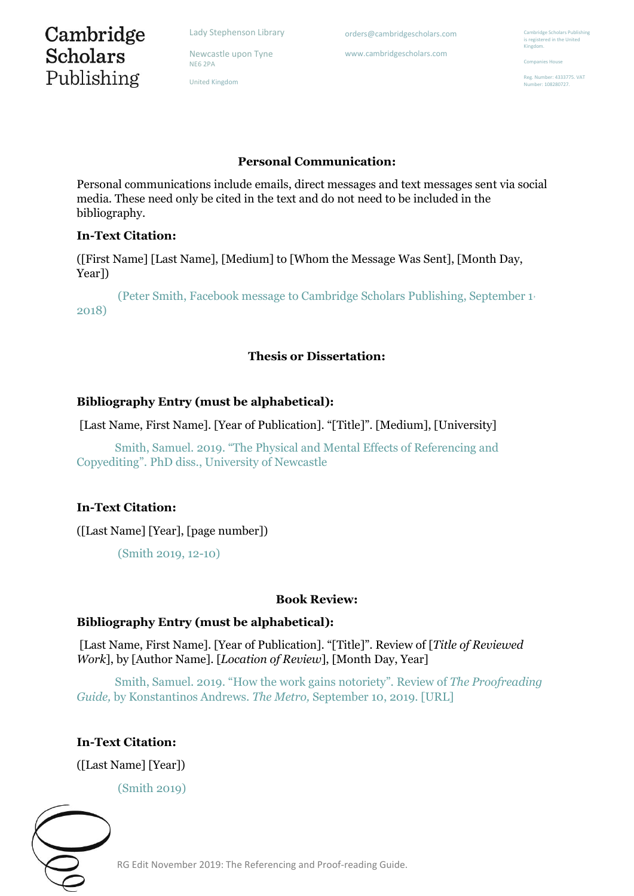Newcastle upon Tyne

orders@cambridgescholars.com

www.cambridgescholars.com

mbridge Scholars Publishing is registered in the United Kingdom.

Companies House

Reg. Number: 4333775. VAT -<br>mber: 108280727

# Cambridge **Scholars** Publishing

NE6 2PA

United Kingdom

# **Personal Communication:**

Personal communications include emails, direct messages and text messages sent via social media. These need only be cited in the text and do not need to be included in the bibliography.

# **In-Text Citation:**

([First Name] [Last Name], [Medium] to [Whom the Message Was Sent], [Month Day, Year])

(Peter Smith, Facebook message to Cambridge Scholars Publishing, September 1, 2018)

# **Thesis or Dissertation:**

# **Bibliography Entry (must be alphabetical):**

[Last Name, First Name]. [Year of Publication]. "[Title]". [Medium], [University]

Smith, Samuel. 2019. "The Physical and Mental Effects of Referencing and Copyediting". PhD diss., University of Newcastle

# **In-Text Citation:**

([Last Name] [Year], [page number])

(Smith 2019, 12-10)

# **Book Review:**

# **Bibliography Entry (must be alphabetical):**

[Last Name, First Name]. [Year of Publication]. "[Title]". Review of [*Title of Reviewed Work*], by [Author Name]. [*Location of Review*], [Month Day, Year]

Smith, Samuel. 2019. "How the work gains notoriety". Review of *The Proofreading Guide,* by Konstantinos Andrews. *The Metro,* September 10, 2019. [URL]

# **In-Text Citation:**

([Last Name] [Year])

(Smith 2019)

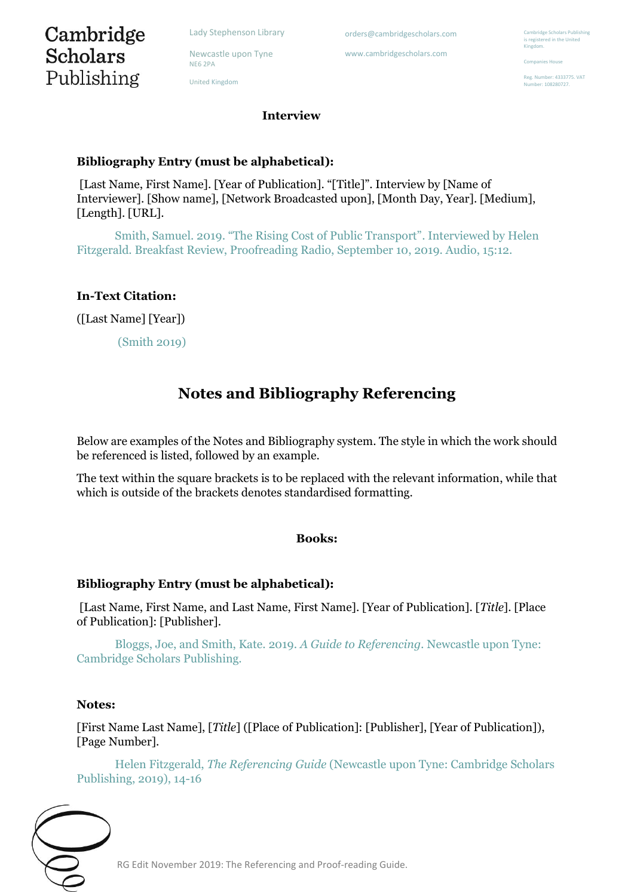Cambridge **Scholars** Publishing

Newcastle upon Tyne NE6 2PA

United Kingdom

orders@cambridgescholars.com

www.cambridgescholars.com

nbridge Scholars Publishing is registered in the United Kingdom.

Companies House

Reg. Number: 4333775. VAT nher: 108280727

**Interview** 

# **Bibliography Entry (must be alphabetical):**

[Last Name, First Name]. [Year of Publication]. "[Title]". Interview by [Name of Interviewer]. [Show name], [Network Broadcasted upon], [Month Day, Year]. [Medium], [Length]. [URL].

Smith, Samuel. 2019. "The Rising Cost of Public Transport". Interviewed by Helen Fitzgerald. Breakfast Review, Proofreading Radio, September 10, 2019. Audio, 15:12.

## **In-Text Citation:**

([Last Name] [Year])

(Smith 2019)

# **Notes and Bibliography Referencing**

Below are examples of the Notes and Bibliography system. The style in which the work should be referenced is listed, followed by an example.

The text within the square brackets is to be replaced with the relevant information, while that which is outside of the brackets denotes standardised formatting.

#### **Books:**

#### **Bibliography Entry (must be alphabetical):**

[Last Name, First Name, and Last Name, First Name]. [Year of Publication]. [*Title*]. [Place of Publication]: [Publisher].

Bloggs, Joe, and Smith, Kate. 2019. *A Guide to Referencing.* Newcastle upon Tyne: Cambridge Scholars Publishing.

#### **Notes:**

[First Name Last Name], [*Title*] ([Place of Publication]: [Publisher], [Year of Publication]), [Page Number].

Helen Fitzgerald, *The Referencing Guide* (Newcastle upon Tyne: Cambridge Scholars Publishing, 2019), 14-16

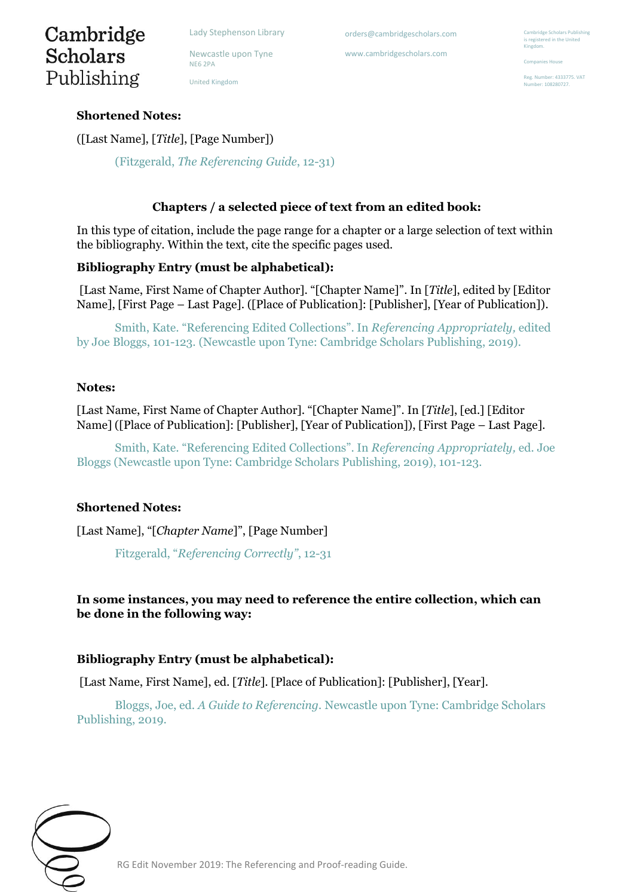Newcastle upon Tyne NE6 2PA

United Kingdom

orders@cambridgescholars.com

www.cambridgescholars.com

mbridge Scholars Publishing is registered in the United Kingdom.

Companies House

Reg. Number: 4333775. VAT nher: 108280727

# **Shortened Notes:**

Cambridge **Scholars** 

Publishing

([Last Name], [*Title*], [Page Number])

(Fitzgerald, *The Referencing Guide*, 12-31)

## **Chapters / a selected piece of text from an edited book:**

In this type of citation, include the page range for a chapter or a large selection of text within the bibliography. Within the text, cite the specific pages used.

## **Bibliography Entry (must be alphabetical):**

[Last Name, First Name of Chapter Author]. "[Chapter Name]". In [*Title*], edited by [Editor Name], [First Page – Last Page]. ([Place of Publication]: [Publisher], [Year of Publication]).

Smith, Kate. "Referencing Edited Collections". In *Referencing Appropriately,* edited by Joe Bloggs, 101-123. (Newcastle upon Tyne: Cambridge Scholars Publishing, 2019).

#### **Notes:**

[Last Name, First Name of Chapter Author]. "[Chapter Name]". In [*Title*], [ed.] [Editor Name] ([Place of Publication]: [Publisher], [Year of Publication]), [First Page – Last Page].

Smith, Kate. "Referencing Edited Collections". In *Referencing Appropriately,* ed. Joe Bloggs (Newcastle upon Tyne: Cambridge Scholars Publishing, 2019), 101-123.

#### **Shortened Notes:**

[Last Name], "[*Chapter Name*]", [Page Number]

Fitzgerald, "*Referencing Correctly"*, 12-31

# **In some instances, you may need to reference the entire collection, which can be done in the following way:**

# **Bibliography Entry (must be alphabetical):**

[Last Name, First Name], ed. [*Title*]. [Place of Publication]: [Publisher], [Year].

Bloggs, Joe, ed. *A Guide to Referencing.* Newcastle upon Tyne: Cambridge Scholars Publishing, 2019.

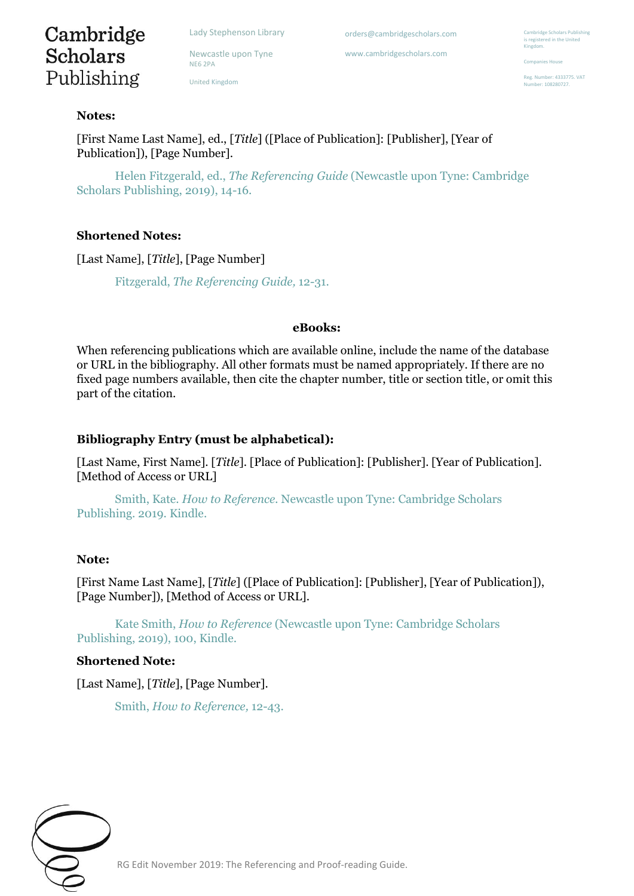Newcastle upon Tyne

orders@cambridgescholars.com

www.cambridgescholars.com

nbridge Scholars Publishing is registered in the United Kingdom.

Companies House

Reg. Number: 4333775. VAT -<br>mber: 108280727

# Cambridge **Scholars** Publishing

NE6 2PA United Kingdom

### **Notes:**

[First Name Last Name], ed., [*Title*] ([Place of Publication]: [Publisher], [Year of Publication]), [Page Number].

Helen Fitzgerald, ed., *The Referencing Guide* (Newcastle upon Tyne: Cambridge Scholars Publishing, 2019), 14-16.

# **Shortened Notes:**

[Last Name], [*Title*], [Page Number]

Fitzgerald, *The Referencing Guide,* 12-31.

#### **eBooks:**

When referencing publications which are available online, include the name of the database or URL in the bibliography. All other formats must be named appropriately. If there are no fixed page numbers available, then cite the chapter number, title or section title, or omit this part of the citation.

# **Bibliography Entry (must be alphabetical):**

[Last Name, First Name]. [*Title*]. [Place of Publication]: [Publisher]. [Year of Publication]. [Method of Access or URL]

Smith, Kate. *How to Reference.* Newcastle upon Tyne: Cambridge Scholars Publishing. 2019. Kindle.

#### **Note:**

[First Name Last Name], [*Title*] ([Place of Publication]: [Publisher], [Year of Publication]), [Page Number]), [Method of Access or URL].

Kate Smith, *How to Reference* (Newcastle upon Tyne: Cambridge Scholars Publishing, 2019), 100, Kindle.

#### **Shortened Note:**

[Last Name], [*Title*], [Page Number].

Smith, *How to Reference,* 12-43.

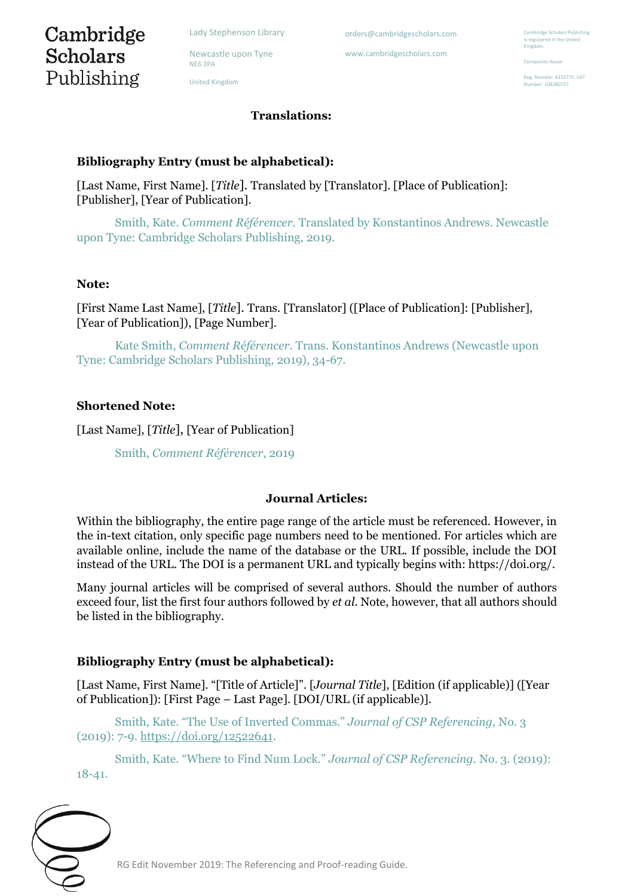Newcastle upon Tyne NE6 2PA

United Kingdom

# **Translations:**

orders@cambridgescholars.com www.cambridgescholars.com

## **Bibliography Entry (must be alphabetical):**

[Last Name, First Name]. [*Title*]. Translated by [Translator]. [Place of Publication]: [Publisher], [Year of Publication].

Smith, Kate. *Comment Référencer.* Translated by Konstantinos Andrews. Newcastle upon Tyne: Cambridge Scholars Publishing, 2019.

#### **Note:**

[First Name Last Name], [*Title*]. Trans. [Translator] ([Place of Publication]: [Publisher], [Year of Publication]), [Page Number].

Kate Smith, *Comment Référencer.* Trans. Konstantinos Andrews (Newcastle upon Tyne: Cambridge Scholars Publishing, 2019), 34-67.

#### **Shortened Note:**

[Last Name], [*Title*], [Year of Publication]

Smith, *Comment Référencer*, 2019

#### **Journal Articles:**

Within the bibliography, the entire page range of the article must be referenced. However, in the in-text citation, only specific page numbers need to be mentioned. For articles which are available online, include the name of the database or the URL. If possible, include the DOI instead of the URL. The DOI is a permanent URL and typically begins with: https://doi.org/.

Many journal articles will be comprised of several authors. Should the number of authors exceed four, list the first four authors followed by *et al.* Note, however, that all authors should be listed in the bibliography.

#### **Bibliography Entry (must be alphabetical):**

[Last Name, First Name]. "[Title of Article]". [*Journal Title*], [Edition (if applicable)] ([Year of Publication]): [First Page – Last Page]. [DOI/URL (if applicable)].

Smith, Kate. "The Use of Inverted Commas." *Journal of CSP Referencing,* No. 3 (2019): 7-9[. https://doi.org/12522641.](https://doi.org/12522641)

Smith, Kate. "Where to Find Num Lock." *Journal of CSP Referencing.* No. 3. (2019): 18-41.



Companies House

eg. Number: 4333775. VAT nher: 108280727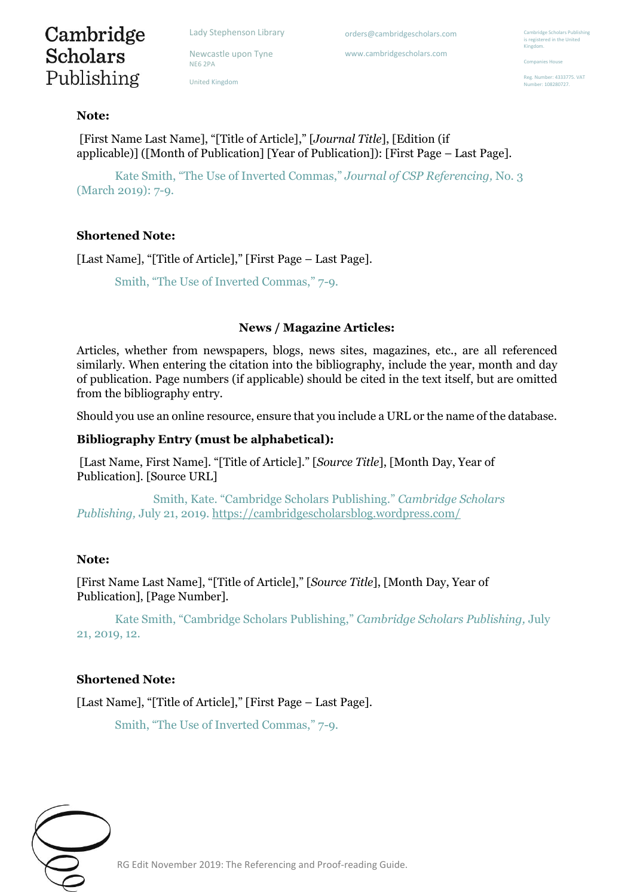Cambridge **Scholars** Publishing

Newcastle upon Tyne NE6 2PA

United Kingdom

orders@cambridgescholars.com

www.cambridgescholars.com

**Ibridge Scholars Publishing** is registered in the United Kingdom.

Companies House

Reg. Number: 4333775. VAT -<br>mber: 108280727

#### **Note:**

[First Name Last Name], "[Title of Article]," [*Journal Title*], [Edition (if applicable)] ([Month of Publication] [Year of Publication]): [First Page – Last Page].

Kate Smith, "The Use of Inverted Commas," *Journal of CSP Referencing,* No. 3 (March 2019): 7-9.

## **Shortened Note:**

[Last Name], "[Title of Article]," [First Page – Last Page].

Smith, "The Use of Inverted Commas," 7-9.

#### **News / Magazine Articles:**

Articles, whether from newspapers, blogs, news sites, magazines, etc., are all referenced similarly. When entering the citation into the bibliography, include the year, month and day of publication. Page numbers (if applicable) should be cited in the text itself, but are omitted from the bibliography entry.

Should you use an online resource, ensure that you include a URL or the name of the database.

#### **Bibliography Entry (must be alphabetical):**

[Last Name, First Name]. "[Title of Article]." [*Source Title*], [Month Day, Year of Publication]. [Source URL]

Smith, Kate. "Cambridge Scholars Publishing." *Cambridge Scholars Publishing,* July 21, 2019.<https://cambridgescholarsblog.wordpress.com/>

#### **Note:**

[First Name Last Name], "[Title of Article]," [*Source Title*], [Month Day, Year of Publication], [Page Number].

Kate Smith, "Cambridge Scholars Publishing," *Cambridge Scholars Publishing,* July 21, 2019, 12.

#### **Shortened Note:**

[Last Name], "[Title of Article]," [First Page – Last Page].

Smith, "The Use of Inverted Commas," 7-9.

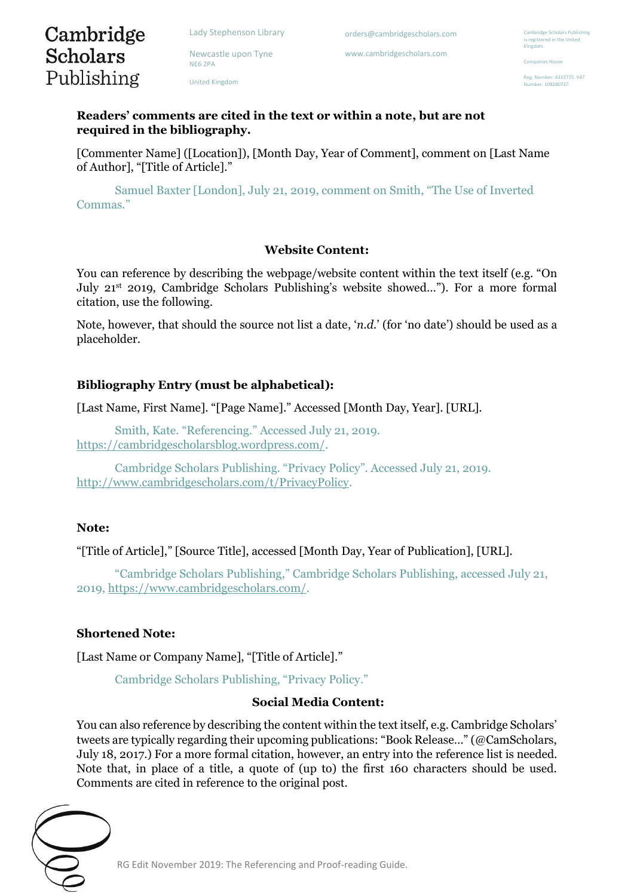Newcastle upon Tyne

NE6 2PA

United Kingdom

orders@cambridgescholars.com

www.cambridgescholars.com

**Ibridge Scholars Publishing** is registered in the United Kingdom.

Companies House

Reg. Number: 4333775. VAT -<br>mber: 108280727

**Readers' comments are cited in the text or within a note, but are not required in the bibliography.** 

[Commenter Name] ([Location]), [Month Day, Year of Comment], comment on [Last Name of Author], "[Title of Article]."

Samuel Baxter [London], July 21, 2019, comment on Smith, "The Use of Inverted Commas."

#### **Website Content:**

You can reference by describing the webpage/website content within the text itself (e.g. "On July 21st 2019, Cambridge Scholars Publishing's website showed…"). For a more formal citation, use the following.

Note, however, that should the source not list a date, '*n.d.*' (for 'no date') should be used as a placeholder.

#### **Bibliography Entry (must be alphabetical):**

[Last Name, First Name]. "[Page Name]." Accessed [Month Day, Year]. [URL].

Smith, Kate. "Referencing." Accessed July 21, 2019. [https://cambridgescholarsblog.wordpress.com/.](https://cambridgescholarsblog.wordpress.com/)

Cambridge Scholars Publishing. "Privacy Policy". Accessed July 21, 2019. [http://www.cambridgescholars.com/t/PrivacyPolicy.](http://www.cambridgescholars.com/t/PrivacyPolicy)

#### **Note:**

Cambridge **Scholars** 

Publishing

"[Title of Article]," [Source Title], accessed [Month Day, Year of Publication], [URL].

"Cambridge Scholars Publishing," Cambridge Scholars Publishing, accessed July 21, 2019, [https://www.cambridgescholars.com/.](https://www.cambridgescholars.com/)

#### **Shortened Note:**

[Last Name or Company Name], "[Title of Article]."

Cambridge Scholars Publishing, "Privacy Policy."

#### **Social Media Content:**

You can also reference by describing the content within the text itself, e.g. Cambridge Scholars' tweets are typically regarding their upcoming publications: "Book Release…" (@CamScholars, July 18, 2017.) For a more formal citation, however, an entry into the reference list is needed. Note that, in place of a title, a quote of (up to) the first 160 characters should be used. Comments are cited in reference to the original post.